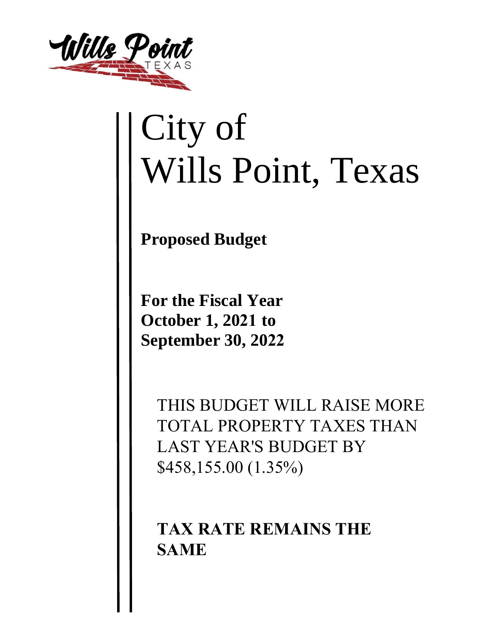

## City of Wills Point, Texas

**Proposed Budget** 

**For the Fiscal Year October 1, 2021 to September 30, 2022**

> THIS BUDGET WILL RAISE MORE TOTAL PROPERTY TAXES THAN LAST YEAR'S BUDGET BY \$458,155.00 (1.35%)

**TAX RATE REMAINS THE SAME**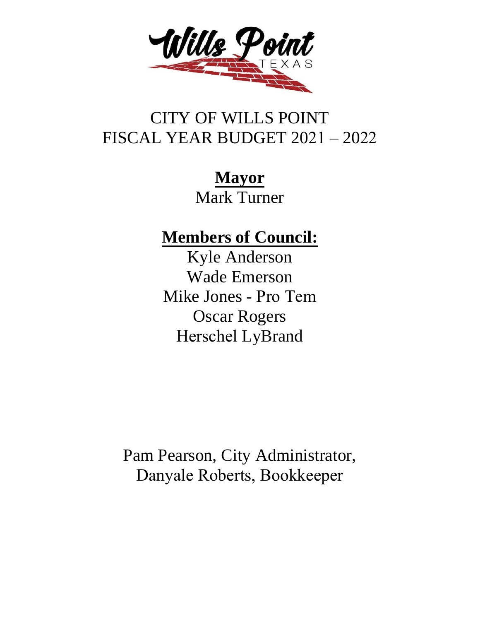

## CITY OF WILLS POINT FISCAL YEAR BUDGET 2021 – 2022

**Mayor** Mark Turner

**Members of Council:**

Kyle Anderson Wade Emerson Mike Jones - Pro Tem Oscar Rogers Herschel LyBrand

Pam Pearson, City Administrator, Danyale Roberts, Bookkeeper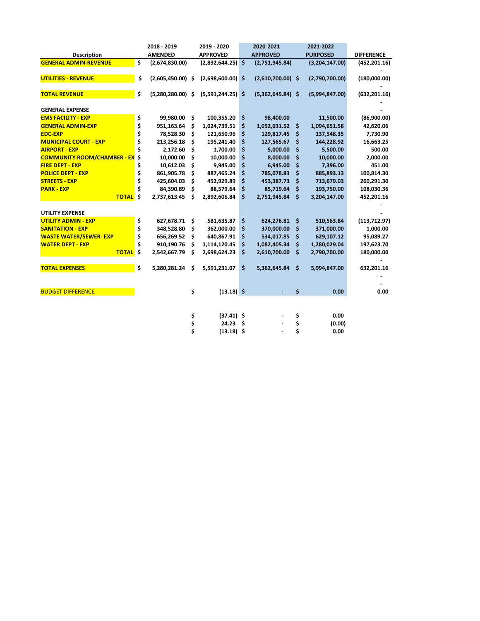|                                    |    | 2018 - 2019    |     | 2019 - 2020         |    | 2020-2021           |     | 2021-2022       |                   |
|------------------------------------|----|----------------|-----|---------------------|----|---------------------|-----|-----------------|-------------------|
| Description                        |    | <b>AMENDED</b> |     | <b>APPROVED</b>     |    | <b>APPROVED</b>     |     | <b>PURPOSED</b> | <b>DIFFERENCE</b> |
| <b>GENERAL ADMIN-REVENUE</b>       | \$ | (2,674,830.00) |     | (2,892,644.25)      | \$ | (2,751,945.84)      |     | (3,204,147.00)  | (452, 201.16)     |
|                                    |    |                |     |                     |    |                     |     |                 |                   |
| <b>UTILITIES - REVENUE</b>         | \$ | (2,605,450.00) | .\$ | $(2,698,600.00)$ \$ |    | $(2,610,700.00)$ \$ |     | (2,790,700.00)  | (180,000.00)      |
| <b>TOTAL REVENUE</b>               | \$ | (5,280,280.00) | \$. | $(5,591,244.25)$ \$ |    | $(5,362,645.84)$ \$ |     | (5,994,847.00)  | (632, 201.16)     |
| <b>GENERAL EXPENSE</b>             |    |                |     |                     |    |                     |     |                 |                   |
| <b>EMS FACILITY - EXP</b>          | \$ | 99,980.00      | Ŝ.  | 100,355.20          | \$ | 98,400.00           |     | 11,500.00       | (86,900.00)       |
| <b>GENERAL ADMIN-EXP</b>           | \$ | 951,163.64     | \$  | 1,024,739.51        | \$ | 1,052,031.52        | \$  | 1,094,651.58    | 42,620.06         |
| <b>EDC-EXP</b>                     | \$ | 78,528.30      | \$. | 121,650.96          | \$ | 129,817.45          | \$  | 137,548.35      | 7,730.90          |
| <b>MUNICIPAL COURT - EXP</b>       | \$ | 213,256.18     | \$  | 195,241.40          | \$ | 127,565.67          | \$  | 144,228.92      | 16,663.25         |
| <b>AIRPORT - EXP</b>               | Ś  | 2,172.60       | \$  | 1,700.00            | \$ | 5,000.00            | Ś   | 5,500.00        | 500.00            |
| <b>COMMUNITY ROOM/CHAMBER - EX</b> | \$ | 10,000.00      | \$  | 10,000.00           | \$ | 8,000.00            | Ś   | 10,000.00       | 2,000.00          |
| <b>FIRE DEPT - EXP</b>             | \$ | 10,612.03      | \$  | 9,945.00            | \$ | 6,945.00            | \$  | 7,396.00        | 451.00            |
| <b>POLICE DEPT - EXP</b>           | \$ | 861,905.78     | \$  | 887,465.24          | \$ | 785,078.83          | Ś   | 885,893.13      | 100,814.30        |
| <b>STREETS - EXP</b>               | \$ | 425,604.03     | \$. | 452,929.89          | \$ | 453,387.73          | Ś   | 713,679.03      | 260,291.30        |
| <b>PARK - EXP</b>                  | Ś  | 84,390.89      | \$  | 88,579.64           | \$ | 85,719.64           | \$  | 193,750.00      | 108,030.36        |
| <b>TOTAL</b>                       | Ś  | 2,737,613.45   | \$  | 2,892,606.84        | \$ | 2,751,945.84        | Ŝ.  | 3,204,147.00    | 452,201.16        |
| <b>UTILITY EXPENSE</b>             |    |                |     |                     |    |                     |     |                 |                   |
| <b>UTILITY ADMIN - EXP</b>         | \$ | 627,678.71 \$  |     | 581,635.87          | \$ | 624,276.81          | \$. | 510,563.84      | (113, 712.97)     |
| <b>SANITATION - EXP</b>            | \$ | 348,528.80     | \$. | 362,000.00          | \$ | 370,000.00          | \$  | 371,000.00      | 1,000.00          |
| <b>WASTE WATER/SEWER-EXP</b>       | \$ | 656,269.52     | \$  | 640,867.91          | \$ | 534,017.85          | \$  | 629,107.12      | 95,089.27         |
| <b>WATER DEPT - EXP</b>            | \$ | 910,190.76     | \$  | 1,114,120.45        | \$ | 1,082,405.34        | \$  | 1,280,029.04    | 197,623.70        |
| <b>TOTAL</b>                       | \$ | 2,542,667.79   | \$  | 2,698,624.23        | \$ | 2,610,700.00        | \$  | 2,790,700.00    | 180,000.00        |
|                                    |    |                |     |                     |    |                     |     |                 |                   |
| <b>TOTAL EXPENSES</b>              | \$ | 5,280,281.24   | \$  | 5,591,231.07        | \$ | 5,362,645.84        | \$  | 5,994,847.00    | 632,201.16        |
|                                    |    |                |     |                     |    |                     |     |                 |                   |
| <b>BUDGET DIFFERENCE</b>           |    |                | \$  | $(13.18)$ \$        |    |                     | \$  | 0.00            | 0.00              |
|                                    |    |                |     |                     |    |                     |     |                 |                   |
|                                    |    |                | \$  | $(37.41)$ \$        |    |                     | \$  | 0.00            |                   |
|                                    |    |                | \$  | 24.23               | Ŝ. |                     | \$  | (0.00)          |                   |
|                                    |    |                | \$  | $(13.18)$ \$        |    |                     | \$  | 0.00            |                   |
|                                    |    |                |     |                     |    |                     |     |                 |                   |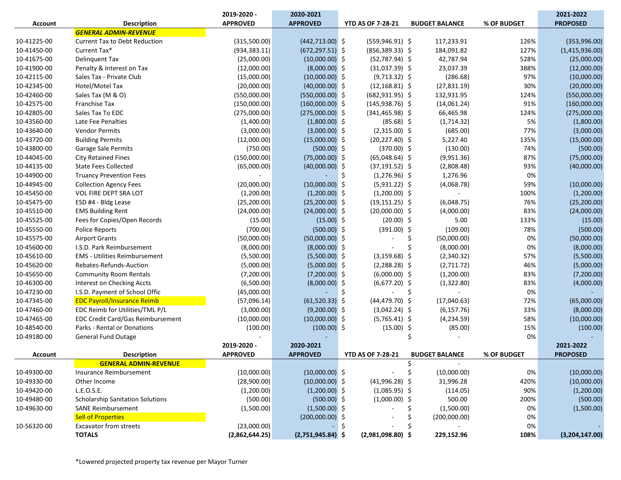|                |                                          | 2019-2020 -     | 2020-2021           |                          |                       |             | 2021-2022       |
|----------------|------------------------------------------|-----------------|---------------------|--------------------------|-----------------------|-------------|-----------------|
| <b>Account</b> | <b>Description</b>                       | <b>APPROVED</b> | <b>APPROVED</b>     | <b>YTD AS OF 7-28-21</b> | <b>BUDGET BALANCE</b> | % OF BUDGET | <b>PROPOSED</b> |
|                | <b>GENERAL ADMIN-REVENUE</b>             |                 |                     |                          |                       |             |                 |
| 10-41225-00    | <b>Current Tax to Debt Reduction</b>     | (315,500.00)    | $(442, 713.00)$ \$  | $(559, 946.91)$ \$       | 117,233.91            | 126%        | (353,996.00)    |
| 10-41450-00    | Current Tax*                             | (934, 383.11)   | $(672, 297.51)$ \$  | $(856, 389.33)$ \$       | 184,091.82            | 127%        | (1,415,936.00)  |
| 10-41675-00    | <b>Delinquent Tax</b>                    | (25,000.00)     | $(10,000.00)$ \$    | $(52,787.94)$ \$         | 42,787.94             | 528%        | (25,000.00)     |
| 10-41900-00    | Penalty & Interest on Tax                | (12,000.00)     | $(8,000.00)$ \$     | $(31,037.39)$ \$         | 23,037.39             | 388%        | (12,000.00)     |
| 10-42115-00    | Sales Tax - Private Club                 | (15,000.00)     | $(10,000.00)$ \$    | $(9,713.32)$ \$          | (286.68)              | 97%         | (10,000.00)     |
| 10-42345-00    | Hotel/Motel Tax                          | (20,000.00)     | $(40,000.00)$ \$    | $(12, 168.81)$ \$        | (27, 831.19)          | 30%         | (20,000.00)     |
| 10-42460-00    | Sales Tax (M & O)                        | (550,000.00)    | $(550,000.00)$ \$   | $(682, 931.95)$ \$       | 132,931.95            | 124%        | (550,000.00)    |
| 10-42575-00    | <b>Franchise Tax</b>                     | (150,000.00)    | $(160,000.00)$ \$   | $(145, 938.76)$ \$       | (14,061.24)           | 91%         | (160,000.00)    |
| 10-42805-00    | Sales Tax To EDC                         | (275,000.00)    | $(275,000.00)$ \$   | $(341, 465.98)$ \$       | 66,465.98             | 124%        | (275,000.00)    |
| 10-43560-00    | Late Fee Penalties                       | (1,400.00)      | $(1,800.00)$ \$     | $(85.68)$ \$             | (1,714.32)            | 5%          | (1,800.00)      |
| 10-43640-00    | <b>Vendor Permits</b>                    | (3,000.00)      | $(3,000.00)$ \$     | $(2,315.00)$ \$          | (685.00)              | 77%         | (3,000.00)      |
| 10-43720-00    | <b>Building Permits</b>                  | (12,000.00)     | $(15,000.00)$ \$    | $(20, 227.40)$ \$        | 5,227.40              | 135%        | (15,000.00)     |
| 10-43800-00    | Garage Sale Permits                      | (750.00)        | $(500.00)$ \$       | $(370.00)$ \$            | (130.00)              | 74%         | (500.00)        |
| 10-44045-00    | <b>City Retained Fines</b>               | (150,000.00)    | $(75,000.00)$ \$    | $(65,048.64)$ \$         | (9,951.36)            | 87%         | (75,000.00)     |
| 10-44135-00    | <b>State Fees Collected</b>              | (65,000.00)     | $(40,000.00)$ \$    | $(37, 191.52)$ \$        | (2,808.48)            | 93%         | (40,000.00)     |
| 10-44900-00    | <b>Truancy Prevention Fees</b>           |                 |                     | Ś<br>$(1,276.96)$ \$     | 1,276.96              | 0%          |                 |
| 10-44945-00    | <b>Collection Agency Fees</b>            | (20,000.00)     | $(10,000.00)$ \$    | $(5,931.22)$ \$          | (4,068.78)            | 59%         | (10,000.00)     |
| 10-45450-00    | VOL FIRE DEPT SRA LOT                    | (1,200.00)      | $(1,200.00)$ \$     | $(1,200.00)$ \$          |                       | 100%        | (1,200.00)      |
| 10-45475-00    | ESD #4 - Bldg Lease                      | (25, 200.00)    | $(25,200.00)$ \$    | $(19, 151.25)$ \$        | (6,048.75)            | 76%         | (25, 200.00)    |
| 10-45510-00    | <b>EMS Building Rent</b>                 | (24,000.00)     | $(24,000.00)$ \$    | $(20,000.00)$ \$         | (4,000.00)            | 83%         | (24,000.00)     |
| 10-45525-00    | Fees for Copies/Open Records             | (15.00)         | $(15.00)$ \$        | $(20.00)$ \$             | 5.00                  | 133%        | (15.00)         |
| 10-45550-00    | <b>Police Reports</b>                    | (700.00)        | $(500.00)$ \$       | $(391.00)$ \$            | (109.00)              | 78%         | (500.00)        |
| 10-45575-00    | <b>Airport Grants</b>                    | (50,000.00)     | $(50,000.00)$ \$    |                          | \$<br>(50,000.00)     | 0%          | (50,000.00)     |
| 10-45600-00    | I.S.D. Park Reimbursement                | (8,000.00)      | $(8,000.00)$ \$     |                          | Ś<br>(8,000.00)       | 0%          | (8,000.00)      |
| 10-45610-00    | <b>EMS</b> - Utilities Reimbursement     | (5,500.00)      | $(5,500.00)$ \$     | $(3, 159.68)$ \$         | (2,340.32)            | 57%         | (5,500.00)      |
| 10-45620-00    | Rebates-Refunds-Auction                  | (5,000.00)      | $(5,000.00)$ \$     | $(2,288.28)$ \$          | (2,711.72)            | 46%         | (5,000.00)      |
| 10-45650-00    | <b>Community Room Rentals</b>            | (7,200.00)      | $(7,200.00)$ \$     | $(6,000.00)$ \$          | (1,200.00)            | 83%         | (7,200.00)      |
| 10-46300-00    | Interest on Checking Accts               | (6,500.00)      | $(8,000.00)$ \$     | $(6,677.20)$ \$          | (1,322.80)            | 83%         | (4,000.00)      |
| 10-47230-00    | I.S.D. Payment of School Offic           | (45,000.00)     |                     | Ŝ.                       | \$                    | 0%          |                 |
| 10-47345-00    | <b>EDC Payroll/Insurance Reimb</b>       | (57,096.14)     | $(61,520.33)$ \$    | $(44, 479.70)$ \$        | (17,040.63)           | 72%         | (65,000.00)     |
| 10-47460-00    | EDC Reimb for Utilities/TML P/L          | (3,000.00)      | $(9,200.00)$ \$     | $(3,042.24)$ \$          | (6, 157.76)           | 33%         | (8,000.00)      |
| 10-47465-00    | <b>EDC Credit Card/Gas Reimbursement</b> | (10,000.00)     | $(10,000.00)$ \$    | $(5,765.41)$ \$          | (4, 234.59)           | 58%         | (10,000.00)     |
| 10-48540-00    | Parks - Rental or Donations              | (100.00)        | $(100.00)$ \$       | $(15.00)$ \$             | (85.00)               | 15%         | (100.00)        |
| 10-49180-00    | <b>General Fund Outage</b>               |                 |                     |                          | Ś                     | 0%          |                 |
|                |                                          | 2019-2020 -     | 2020-2021           |                          |                       |             | 2021-2022       |
| <b>Account</b> | <b>Description</b>                       | <b>APPROVED</b> | <b>APPROVED</b>     | <b>YTD AS OF 7-28-21</b> | <b>BUDGET BALANCE</b> | % OF BUDGET | <b>PROPOSED</b> |
|                | <b>GENERAL ADMIN-REVENUE</b>             |                 |                     |                          |                       |             |                 |
| 10-49300-00    | Insurance Reimbursement                  | (10,000.00)     | $(10,000.00)$ \$    |                          | (10,000.00)           | 0%          | (10,000.00)     |
| 10-49330-00    | Other Income                             | (28,900.00)     | $(10,000.00)$ \$    | $(41,996.28)$ \$         | 31,996.28             | 420%        | (10,000.00)     |
| 10-49420-00    | L.E.O.S.E.                               | (1,200.00)      | $(1,200.00)$ \$     | $(1,085.95)$ \$          | (114.05)              | 90%         | (1,200.00)      |
| 10-49480-00    | <b>Scholarship Sanitation Solutions</b>  | (500.00)        | $(500.00)$ \$       | $(1,000.00)$ \$          | 500.00                | 200%        | (500.00)        |
| 10-49630-00    | <b>SANE Reimbursement</b>                | (1,500.00)      | $(1,500.00)$ \$     |                          | (1,500.00)            | 0%          | (1,500.00)      |
|                | <b>Sell of Properties</b>                |                 | $(200,000.00)$ \$   |                          | (200,000.00)          | 0%          |                 |
| 10-56320-00    | <b>Excavator from streets</b>            | (23,000.00)     |                     | -\$                      |                       | 0%          |                 |
|                | <b>TOTALS</b>                            | (2,862,644.25)  | $(2,751,945.84)$ \$ | $(2,981,098.80)$ \$      | 229,152.96            | 108%        | (3,204,147.00)  |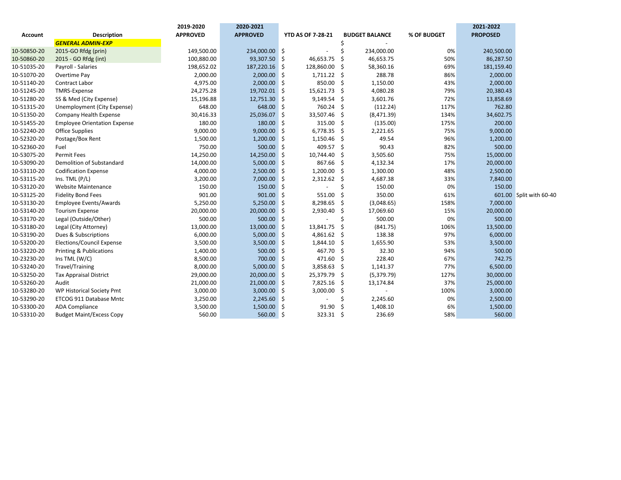|             |                                     | 2019-2020       | 2020-2021       |                          |      |                       |             | 2021-2022       |                         |
|-------------|-------------------------------------|-----------------|-----------------|--------------------------|------|-----------------------|-------------|-----------------|-------------------------|
| Account     | <b>Description</b>                  | <b>APPROVED</b> | <b>APPROVED</b> | <b>YTD AS OF 7-28-21</b> |      | <b>BUDGET BALANCE</b> | % OF BUDGET | <b>PROPOSED</b> |                         |
|             | <b>GENERAL ADMIN-EXP</b>            |                 |                 |                          |      |                       |             |                 |                         |
| 10-50850-20 | 2015-GO Rfdg (prin)                 | 149,500.00      | 234,000.00 \$   |                          |      | 234,000.00            | 0%          | 240,500.00      |                         |
| 10-50860-20 | 2015 - GO Rfdg (int)                | 100,880.00      | 93,307.50 \$    | 46,653.75                | Ŝ.   | 46,653.75             | 50%         | 86,287.50       |                         |
| 10-51035-20 | Payroll - Salaries                  | 198,652.02      | 187,220.16 \$   | 128,860.00               | Ŝ.   | 58,360.16             | 69%         | 181,159.40      |                         |
| 10-51070-20 | Overtime Pay                        | 2,000.00        | 2,000.00        | l \$<br>1,711.22         | - \$ | 288.78                | 86%         | 2,000.00        |                         |
| 10-51140-20 | Contract Labor                      | 4,975.00        | $2,000.00$ \$   | 850.00                   | -Ś   | 1,150.00              | 43%         | 2,000.00        |                         |
| 10-51245-20 | TMRS-Expense                        | 24,275.28       | 19,702.01 \$    | 15,621.73                | -Ś   | 4,080.28              | 79%         | 20,380.43       |                         |
| 10-51280-20 | SS & Med (City Expense)             | 15,196.88       | 12,751.30 \$    | 9,149.54                 | -Ś   | 3,601.76              | 72%         | 13,858.69       |                         |
| 10-51315-20 | Unemployment (City Expense)         | 648.00          | 648.00 \$       | 760.24                   | -Ś   | (112.24)              | 117%        | 762.80          |                         |
| 10-51350-20 | Company Health Expense              | 30,416.33       | 25,036.07       | ۱Ś.<br>33,507.46         | -Ś   | (8,471.39)            | 134%        | 34,602.75       |                         |
| 10-51455-20 | <b>Employee Orientation Expense</b> | 180.00          | 180.00 \$       | 315.00                   | -Ś   | (135.00)              | 175%        | 200.00          |                         |
| 10-52240-20 | Office Supplies                     | 9,000.00        | $9,000.00$ \$   | 6,778.35                 | -\$  | 2,221.65              | 75%         | 9,000.00        |                         |
| 10-52320-20 | Postage/Box Rent                    | 1,500.00        | 1,200.00        | 1,150.46<br>Ŝ.           | Ś    | 49.54                 | 96%         | 1,200.00        |                         |
| 10-52360-20 | Fuel                                | 750.00          | 500.00          | 409.57<br>Ś              | Ŝ.   | 90.43                 | 82%         | 500.00          |                         |
| 10-53075-20 | <b>Permit Fees</b>                  | 14,250.00       | 14,250.00       | 10,744.40<br>Ŝ           | .S   | 3,505.60              | 75%         | 15,000.00       |                         |
| 10-53090-20 | Demolition of Substandard           | 14,000.00       | $5,000.00$ \$   | 867.66                   | Ŝ.   | 4,132.34              | 17%         | 20,000.00       |                         |
| 10-53110-20 | <b>Codification Expense</b>         | 4,000.00        | $2,500.00$ \$   | 1,200.00                 | -Ŝ   | 1,300.00              | 48%         | 2,500.00        |                         |
| 10-53115-20 | Ins. TML $(P/L)$                    | 3,200.00        | $7,000.00$ \$   | 2,312.62                 | -Ŝ   | 4,687.38              | 33%         | 7,840.00        |                         |
| 10-53120-20 | Website Maintenance                 | 150.00          | 150.00 \$       |                          | Ś    | 150.00                | 0%          | 150.00          |                         |
| 10-53125-20 | <b>Fidelity Bond Fees</b>           | 901.00          | $901.00$ \$     | 551.00                   | Ś    | 350.00                | 61%         |                 | 601.00 Split with 60-40 |
| 10-53130-20 | Employee Events/Awards              | 5,250.00        | $5,250.00$ \$   | 8,298.65                 | -Ś   | (3,048.65)            | 158%        | 7,000.00        |                         |
| 10-53140-20 | <b>Tourism Expense</b>              | 20,000.00       | 20,000.00       | 2,930.40<br>۱\$          | Ŝ.   | 17,069.60             | 15%         | 20,000.00       |                         |
| 10-53170-20 | Legal (Outside/Other)               | 500.00          | 500.00 \$       |                          | Ś    | 500.00                | 0%          | 500.00          |                         |
| 10-53180-20 | Legal (City Attorney)               | 13,000.00       | 13,000.00       | 13,841.75<br>- 5         | Ś    | (841.75)              | 106%        | 13,500.00       |                         |
| 10-53190-20 | Dues & Subscriptions                | 6,000.00        | 5,000.00        | 4,861.62<br>∣\$          | Ŝ.   | 138.38                | 97%         | 6,000.00        |                         |
| 10-53200-20 | <b>Elections/Council Expense</b>    | 3,500.00        | 3,500.00        | 1,844.10<br>∘\$.         | Ś.   | 1,655.90              | 53%         | 3,500.00        |                         |
| 10-53220-20 | Printing & Publications             | 1,400.00        | 500.00 \$       | 467.70                   | -Ś   | 32.30                 | 94%         | 500.00          |                         |
| 10-23230-20 | Ins TML $(W/C)$                     | 8,500.00        | 700.00 \$       | 471.60                   | -\$  | 228.40                | 67%         | 742.75          |                         |
| 10-53240-20 | Travel/Training                     | 8,000.00        | $5,000.00$ \$   | 3,858.63                 | -\$  | 1,141.37              | 77%         | 6,500.00        |                         |
| 10-53250-20 | <b>Tax Appraisal District</b>       | 29,000.00       | 20,000.00 \$    | 25,379.79                | -\$  | (5,379.79)            | 127%        | 30,000.00       |                         |
| 10-53260-20 | Audit                               | 21,000.00       | $21,000.00$ \$  | 7,825.16                 | -Ś   | 13,174.84             | 37%         | 25,000.00       |                         |
| 10-53280-20 | WP Historical Society Pmt           | 3,000.00        | $3,000.00$ \$   | 3,000.00                 | \$   |                       | 100%        | 3,000.00        |                         |
| 10-53290-20 | ETCOG 911 Database Mntc             | 3,250.00        | $2,245.60$ \$   |                          |      | 2,245.60              | 0%          | 2,500.00        |                         |
| 10-53300-20 | <b>ADA Compliance</b>               | 3,500.00        | 1,500.00        | 91.90<br>Ś               |      | 1,408.10              | 6%          | 1,500.00        |                         |
| 10-53310-20 | <b>Budget Maint/Excess Copy</b>     | 560.00          | 560.00 \$       | 323.31                   | -\$  | 236.69                | 58%         | 560.00          |                         |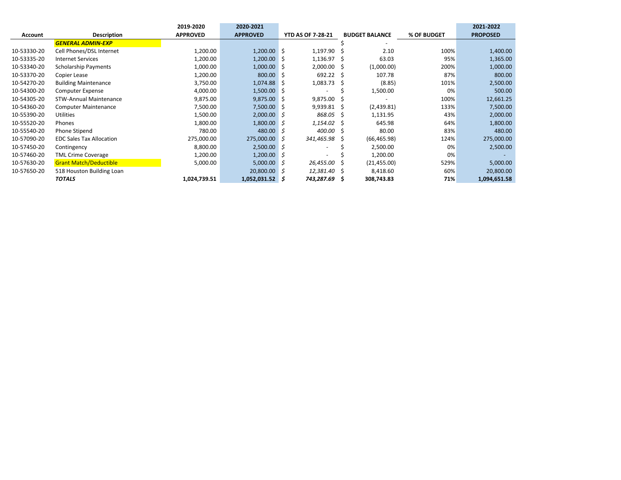|                |                                 | 2019-2020       | 2020-2021         |   |                          |    |                       |             | 2021-2022       |
|----------------|---------------------------------|-----------------|-------------------|---|--------------------------|----|-----------------------|-------------|-----------------|
| <b>Account</b> | <b>Description</b>              | <b>APPROVED</b> | <b>APPROVED</b>   |   | <b>YTD AS OF 7-28-21</b> |    | <b>BUDGET BALANCE</b> | % OF BUDGET | <b>PROPOSED</b> |
|                | <b>GENERAL ADMIN-EXP</b>        |                 |                   |   |                          |    |                       |             |                 |
| 10-53330-20    | Cell Phones/DSL Internet        | 1,200.00        | $1,200.00$ \$     |   | 1,197.90                 | 5  | 2.10                  | 100%        | 1,400.00        |
| 10-53335-20    | <b>Internet Services</b>        | 1,200.00        | 1,200.00          | S | 1,136.97                 |    | 63.03                 | 95%         | 1,365.00        |
| 10-53340-20    | <b>Scholarship Payments</b>     | 1,000.00        | 1,000.00          | S | 2,000.00                 | S  | (1,000.00)            | 200%        | 1,000.00        |
| 10-53370-20    | Copier Lease                    | 1,200.00        | 800.00            | S | 692.22                   | -S | 107.78                | 87%         | 800.00          |
| 10-54270-20    | <b>Building Maintenance</b>     | 3,750.00        | 1,074.88          | S | 1,083.73                 | S  | (8.85)                | 101%        | 2,500.00        |
| 10-54300-20    | Computer Expense                | 4,000.00        | $1,500.00$ \$     |   |                          |    | 1,500.00              | 0%          | 500.00          |
| 10-54305-20    | <b>STW-Annual Maintenance</b>   | 9,875.00        | $9,875.00$ \$     |   | 9,875.00                 |    |                       | 100%        | 12,661.25       |
| 10-54360-20    | <b>Computer Maintenance</b>     | 7,500.00        | 7,500.00 \$       |   | 9,939.81                 | -S | (2,439.81)            | 133%        | 7,500.00        |
| 10-55390-20    | Utilities                       | 1,500.00        | $2,000.00$ \$     |   | 868.05                   | S  | 1,131.95              | 43%         | 2,000.00        |
| 10-55520-20    | Phones                          | 1,800.00        | $1,800.00$ \$     |   | 1,154.02                 | -S | 645.98                | 64%         | 1,800.00        |
| 10-55540-20    | Phone Stipend                   | 780.00          | 480.00            | S | 400.00                   | Ŝ  | 80.00                 | 83%         | 480.00          |
| 10-57090-20    | <b>EDC Sales Tax Allocation</b> | 275,000.00      | 275,000.00        | S | 341,465.98               |    | (66, 465.98)          | 124%        | 275,000.00      |
| 10-57450-20    | Contingency                     | 8,800.00        | $2,500.00$ \$     |   |                          |    | 2,500.00              | 0%          | 2,500.00        |
| 10-57460-20    | <b>TML Crime Coverage</b>       | 1,200.00        | $1,200.00$ \$     |   |                          |    | 1,200.00              | 0%          |                 |
| 10-57630-20    | <b>Grant Match/Deductible</b>   | 5,000.00        | $5,000.00$ \$     |   | 26,455.00                | S  | (21, 455.00)          | 529%        | 5,000.00        |
| 10-57650-20    | 518 Houston Building Loan       |                 | $20,800.00$ \$    |   | 12,381.40                | .s | 8,418.60              | 60%         | 20,800.00       |
|                | <b>TOTALS</b>                   | 1,024,739.51    | $1,052,031.52$ \$ |   | 743,287.69               | s  | 308,743.83            | 71%         | 1,094,651.58    |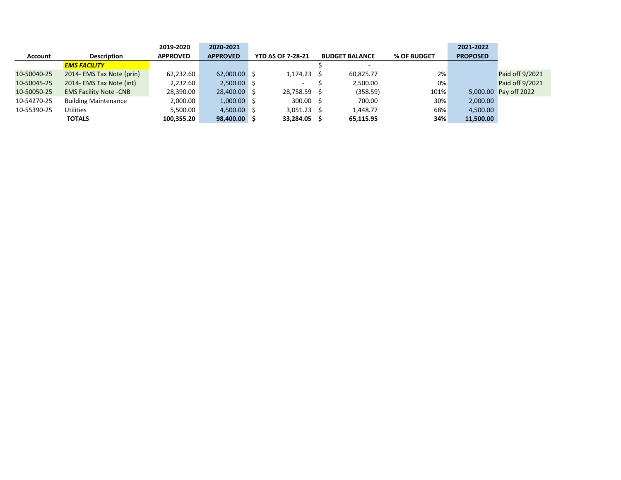|             |                               | 2019-2020       | 2020-2021       |                          |                       |             | 2021-2022       |                       |
|-------------|-------------------------------|-----------------|-----------------|--------------------------|-----------------------|-------------|-----------------|-----------------------|
| Account     | <b>Description</b>            | <b>APPROVED</b> | <b>APPROVED</b> | <b>YTD AS OF 7-28-21</b> | <b>BUDGET BALANCE</b> | % OF BUDGET | <b>PROPOSED</b> |                       |
|             | <b>EMS FACILITY</b>           |                 |                 |                          |                       |             |                 |                       |
| 10-50040-25 | 2014- EMS Tax Note (prin)     | 62,232.60       | 62,000.00 \$    | $1,174.23$ \$            | 60,825.77             | 2%          |                 | Paid off 9/2021       |
| 10-50045-25 | 2014- EMS Tax Note (int)      | 2,232.60        | $2,500.00$ \$   | ۰                        | 2,500.00              | 0%          |                 | Paid off 9/2021       |
| 10-50050-25 | <b>EMS Facility Note -CNB</b> | 28,390.00       | 28,400.00 \$    | 28,758.59 \$             | (358.59)              | 101%        |                 | 5,000.00 Pay off 2022 |
| 10-54270-25 | <b>Building Maintenance</b>   | 2,000.00        | $1,000.00$ \$   | $300.00$ \$              | 700.00                | 30%         | 2,000.00        |                       |
| 10-55390-25 | <b>Utilities</b>              | 5,500.00        | $4,500.00$ \$   | $3,051.23$ \$            | 1,448.77              | 68%         | 4,500.00        |                       |
|             | <b>TOTALS</b>                 | 100,355.20      | 98,400.00 \$    | 33,284.05 \$             | 65,115.95             | 34%         | 11,500.00       |                       |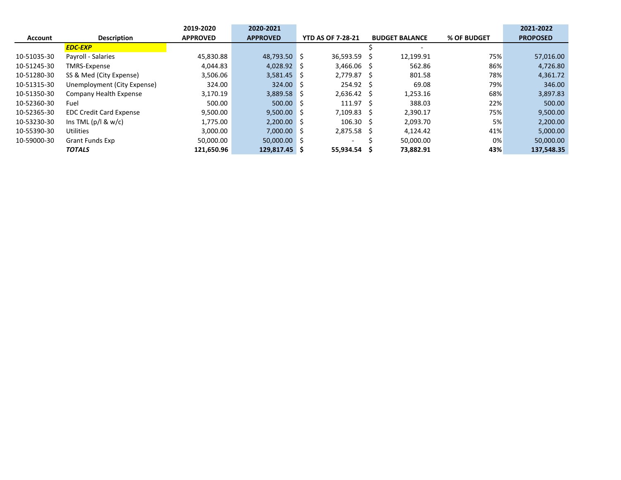|                |                                | 2019-2020       | 2020-2021           |                          |                       |             | 2021-2022       |
|----------------|--------------------------------|-----------------|---------------------|--------------------------|-----------------------|-------------|-----------------|
| <b>Account</b> | <b>Description</b>             | <b>APPROVED</b> | <b>APPROVED</b>     | <b>YTD AS OF 7-28-21</b> | <b>BUDGET BALANCE</b> | % OF BUDGET | <b>PROPOSED</b> |
|                | <b>EDC-EXP</b>                 |                 |                     |                          |                       |             |                 |
| 10-51035-30    | Payroll - Salaries             | 45.830.88       | 48.793.50 \$        | 36.593.59                | 12,199.91             | 75%         | 57,016.00       |
| 10-51245-30    | TMRS-Expense                   | 4.044.83        | $4,028.92$ \$       | $3.466.06$ \$            | 562.86                | 86%         | 4,726.80        |
| 10-51280-30    | SS & Med (City Expense)        | 3,506.06        | $3,581.45$ \$       | 2.779.87 \$              | 801.58                | 78%         | 4,361.72        |
| 10-51315-30    | Unemployment (City Expense)    | 324.00          | 324.00 <sup>5</sup> | 254.92 \$                | 69.08                 | 79%         | 346.00          |
| 10-51350-30    | Company Health Expense         | 3,170.19        | $3,889.58$ \$       | $2.636.42 \quad$ \$      | 1,253.16              | 68%         | 3,897.83        |
| 10-52360-30    | Fuel                           | 500.00          | $500.00$ \$         | 111.97 <sub>5</sub>      | 388.03                | 22%         | 500.00          |
| 10-52365-30    | <b>EDC Credit Card Expense</b> | 9,500.00        | $9,500.00$ \$       | 7,109.83 \$              | 2.390.17              | 75%         | 9,500.00        |
| 10-53230-30    | Ins TML $(p/l & w/c)$          | 1,775.00        | $2,200.00$ \$       | $106.30 \quad $$         | 2.093.70              | 5%          | 2,200.00        |
| 10-55390-30    | <b>Utilities</b>               | 3.000.00        | $7.000.00$ \$       | 2.875.58 \$              | 4,124.42              | 41%         | 5,000.00        |
| 10-59000-30    | <b>Grant Funds Exp</b>         | 50,000.00       | $50,000.00$ \$      | -                        | 50,000.00             | 0%          | 50,000.00       |
|                | <b>TOTALS</b>                  | 121.650.96      | 129.817.45 \$       | 55.934.54                | 73,882.91             | 43%         | 137.548.35      |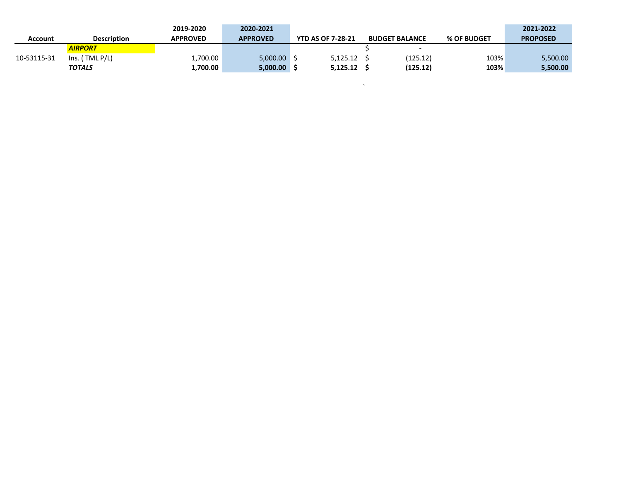|             |                         | 2019-2020       | 2020-2021       |                          |                       |             | 2021-2022       |
|-------------|-------------------------|-----------------|-----------------|--------------------------|-----------------------|-------------|-----------------|
| Account     | <b>Description</b>      | <b>APPROVED</b> | <b>APPROVED</b> | <b>YTD AS OF 7-28-21</b> | <b>BUDGET BALANCE</b> | % OF BUDGET | <b>PROPOSED</b> |
|             | <i><b>AIRPORT</b></i>   |                 |                 |                          |                       |             |                 |
| 10-53115-31 | TML P/L)<br>$\ln s$ . I | 1,700.00        | 5,000.00        | 5.125.12                 | (125.12)              | 103%        | 5,500.00        |
|             | <b>TOTALS</b>           | 1,700.00        | 5,000.00        | 5.125.12                 | (125.12)              | 103%        | 5,500.00        |

 $\label{eq:1.1} \sum_{\mathbf{a} \in \mathcal{A}} \mathcal{L}(\mathbf{a}^{\mathbf{a}}_{\mathbf{a}}) = \sum_{\mathbf{a} \in \mathcal{A}} \mathcal{L}(\mathbf{a}^{\mathbf{a}}_{\mathbf{a}}) = \sum_{\mathbf{a} \in \mathcal{A}} \mathcal{L}(\mathbf{a}^{\mathbf{a}}_{\mathbf{a}})$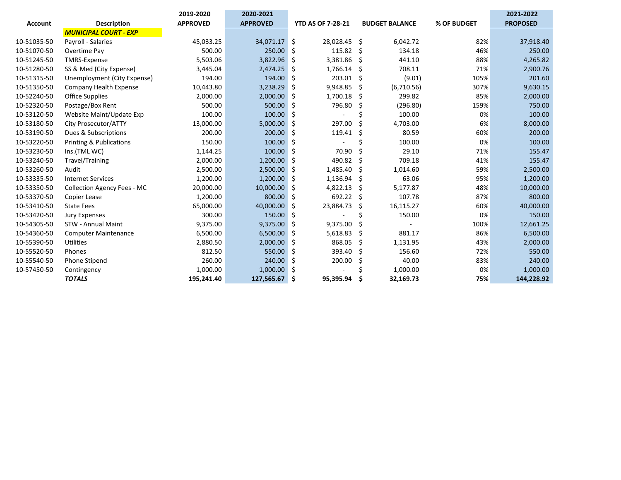|                |                                    | 2019-2020       | 2020-2021       |                          |               |                       |             | 2021-2022       |
|----------------|------------------------------------|-----------------|-----------------|--------------------------|---------------|-----------------------|-------------|-----------------|
| <b>Account</b> | <b>Description</b>                 | <b>APPROVED</b> | <b>APPROVED</b> | <b>YTD AS OF 7-28-21</b> |               | <b>BUDGET BALANCE</b> | % OF BUDGET | <b>PROPOSED</b> |
|                | <b>MUNICIPAL COURT - EXP</b>       |                 |                 |                          |               |                       |             |                 |
| 10-51035-50    | Payroll - Salaries                 | 45,033.25       | 34,071.17 \$    | 28,028.45 \$             |               | 6,042.72              | 82%         | 37,918.40       |
| 10-51070-50    | Overtime Pay                       | 500.00          | 250.00          | 115.82<br>.S             | -\$           | 134.18                | 46%         | 250.00          |
| 10-51245-50    | <b>TMRS-Expense</b>                | 5,503.06        | 3,822.96        | 3,381.86<br>-\$          | -\$           | 441.10                | 88%         | 4,265.82        |
| 10-51280-50    | SS & Med (City Expense)            | 3,445.04        | 2,474.25        | 1,766.14<br>.\$          | -\$           | 708.11                | 71%         | 2,900.76        |
| 10-51315-50    | Unemployment (City Expense)        | 194.00          | 194.00          | -\$                      | 203.01<br>-\$ | (9.01)                | 105%        | 201.60          |
| 10-51350-50    | Company Health Expense             | 10,443.80       | 3,238.29        | 9,948.85<br>\$           | -\$           | (6,710.56)            | 307%        | 9,630.15        |
| 10-52240-50    | Office Supplies                    | 2,000.00        | 2,000.00        | 1,700.18<br>\$.          | -\$           | 299.82                | 85%         | 2,000.00        |
| 10-52320-50    | Postage/Box Rent                   | 500.00          | 500.00          | 796.80<br>Ŝ.             | -Ś            | (296.80)              | 159%        | 750.00          |
| 10-53120-50    | Website Maint/Update Exp           | 100.00          | 100.00          | 5 ا                      | \$            | 100.00                | 0%          | 100.00          |
| 10-53180-50    | City Prosecutor/ATTY               | 13,000.00       | 5,000.00        | 297.00<br>.S             | Ŝ.            | 4,703.00              | 6%          | 8,000.00        |
| 10-53190-50    | Dues & Subscriptions               | 200.00          | 200.00          | 119.41<br>.\$            | Ŝ.            | 80.59                 | 60%         | 200.00          |
| 10-53220-50    | <b>Printing &amp; Publications</b> | 150.00          | 100.00          | Ś                        | Ś             | 100.00                | 0%          | 100.00          |
| 10-53230-50    | Ins.(TML WC)                       | 1,144.25        | 100.00          | .S                       | 70.90<br>Ŝ.   | 29.10                 | 71%         | 155.47          |
| 10-53240-50    | Travel/Training                    | 2,000.00        | 1,200.00        | 490.82<br>-\$            | -Ś            | 709.18                | 41%         | 155.47          |
| 10-53260-50    | Audit                              | 2,500.00        | 2,500.00        | 1,485.40<br>-\$          | -\$           | 1,014.60              | 59%         | 2,500.00        |
| 10-53335-50    | <b>Internet Services</b>           | 1,200.00        | 1,200.00        | 1,136.94<br>Ŝ.           | -Ś            | 63.06                 | 95%         | 1,200.00        |
| 10-53350-50    | <b>Collection Agency Fees - MC</b> | 20,000.00       | 10,000.00       | 4,822.13<br>-\$          | -\$           | 5,177.87              | 48%         | 10,000.00       |
| 10-53370-50    | Copier Lease                       | 1,200.00        | 800.00          | 692.22<br>l S            | -Ś            | 107.78                | 87%         | 800.00          |
| 10-53410-50    | <b>State Fees</b>                  | 65,000.00       | 40,000.00       | 23,884.73<br>.S          | -Ś            | 16,115.27             | 60%         | 40,000.00       |
| 10-53420-50    | <b>Jury Expenses</b>               | 300.00          | 150.00          | -\$                      | Ś             | 150.00                | 0%          | 150.00          |
| 10-54305-50    | <b>STW - Annual Maint</b>          | 9,375.00        | 9,375.00        | 9,375.00<br>-\$          | S             |                       | 100%        | 12,661.25       |
| 10-54360-50    | <b>Computer Maintenance</b>        | 6,500.00        | 6,500.00        | 5,618.83<br>-\$          | -\$           | 881.17                | 86%         | 6,500.00        |
| 10-55390-50    | <b>Utilities</b>                   | 2,880.50        | 2,000.00        | 868.05<br>\$             | Ŝ.            | 1,131.95              | 43%         | 2,000.00        |
| 10-55520-50    | Phones                             | 812.50          | 550.00          | 393.40<br>-\$            | -\$           | 156.60                | 72%         | 550.00          |
| 10-55540-50    | Phone Stipend                      | 260.00          | 240.00          | 200.00<br>Ŝ.             | Ŝ.            | 40.00                 | 83%         | 240.00          |
| 10-57450-50    | Contingency                        | 1,000.00        | 1,000.00        | l \$                     | Ś             | 1,000.00              | 0%          | 1,000.00        |
|                | <b>TOTALS</b>                      | 195,241.40      | 127,565.67      | Ś<br>95,395.94           | \$            | 32,169.73             | 75%         | 144,228.92      |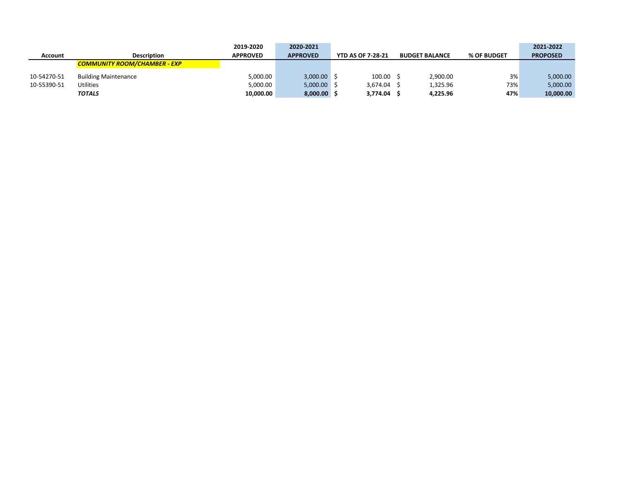|             |                                     | 2019-2020       | 2020-2021       |                          |                       |             | 2021-2022       |
|-------------|-------------------------------------|-----------------|-----------------|--------------------------|-----------------------|-------------|-----------------|
| Account     | <b>Description</b>                  | <b>APPROVED</b> | <b>APPROVED</b> | <b>YTD AS OF 7-28-21</b> | <b>BUDGET BALANCE</b> | % OF BUDGET | <b>PROPOSED</b> |
|             | <b>COMMUNITY ROOM/CHAMBER - EXP</b> |                 |                 |                          |                       |             |                 |
| 10-54270-51 | <b>Building Maintenance</b>         | 5,000.00        | 3,000.00        | 100.00                   | 2,900.00              | 3%          | 5,000.00        |
| 10-55390-51 | <b>Utilities</b>                    | 5,000.00        | $5,000.00$ \$   | 3.674.04                 | 1.325.96              | 73%         | 5,000.00        |
|             | <b>TOTALS</b>                       | 10,000.00       | 8,000.00        | 3,774.04                 | 4,225.96              | 47%         | 10,000.00       |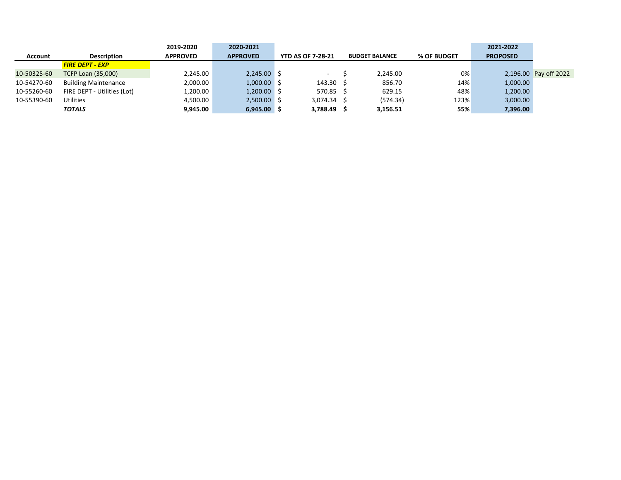|                |                             | 2019-2020       | 2020-2021       |                          |                       |             | 2021-2022       |                       |
|----------------|-----------------------------|-----------------|-----------------|--------------------------|-----------------------|-------------|-----------------|-----------------------|
| <b>Account</b> | <b>Description</b>          | <b>APPROVED</b> | <b>APPROVED</b> | <b>YTD AS OF 7-28-21</b> | <b>BUDGET BALANCE</b> | % OF BUDGET | <b>PROPOSED</b> |                       |
|                | <b>FIRE DEPT - EXP</b>      |                 |                 |                          |                       |             |                 |                       |
| 10-50325-60    | <b>TCFP Loan (35,000)</b>   | 2,245.00        | $2,245.00$ \$   | ۰.                       | 2.245.00              | 0%          |                 | 2,196.00 Pay off 2022 |
| 10-54270-60    | <b>Building Maintenance</b> | 2,000.00        | $1,000.00$ \$   | $143.30 \pm 5$           | 856.70                | 14%         | 1,000.00        |                       |
| 10-55260-60    | FIRE DEPT - Utilities (Lot) | 1,200.00        | $1,200.00$ \$   | 570.85 \$                | 629.15                | 48%         | 1,200.00        |                       |
| 10-55390-60    | <b>Utilities</b>            | 4,500.00        | $2,500.00$ \$   | $3.074.34$ S             | (574.34)              | 123%        | 3,000.00        |                       |
|                | <b>TOTALS</b>               | 9,945.00        | $6,945.00$ \$   | 3,788.49                 | 3,156.51              | 55%         | 7,396.00        |                       |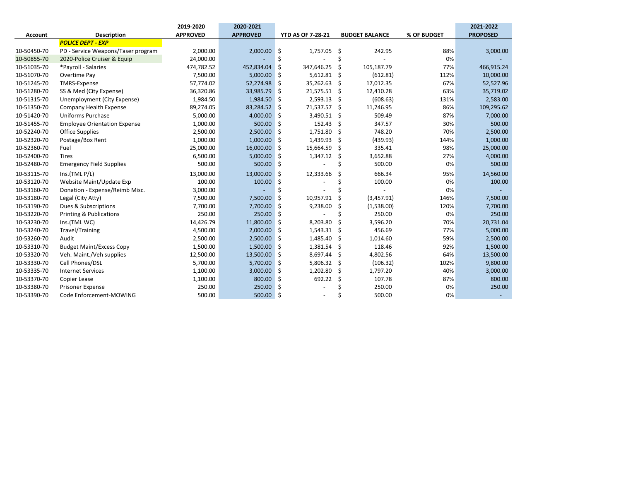|             |                                     | 2019-2020       | 2020-2021       |                          |                       |             | 2021-2022       |
|-------------|-------------------------------------|-----------------|-----------------|--------------------------|-----------------------|-------------|-----------------|
| Account     | Description                         | <b>APPROVED</b> | <b>APPROVED</b> | <b>YTD AS OF 7-28-21</b> | <b>BUDGET BALANCE</b> | % OF BUDGET | <b>PROPOSED</b> |
|             | <b>POLICE DEPT - EXP</b>            |                 |                 |                          |                       |             |                 |
| 10-50450-70 | PD - Service Weapons/Taser program  | 2,000.00        | 2,000.00        | 1,757.05<br>-\$          | - \$<br>242.95        | 88%         | 3,000.00        |
| 10-50855-70 | 2020-Police Cruiser & Equip         | 24,000.00       |                 | \$                       | Ś                     | 0%          |                 |
| 10-51035-70 | *Payroll - Salaries                 | 474,782.52      | 452,834.04      | \$<br>347,646.25         | Ś<br>105,187.79       | 77%         | 466,915.24      |
| 10-51070-70 | Overtime Pay                        | 7,500.00        | 5,000.00        | 5,612.81<br>-\$          | \$<br>(612.81)        | 112%        | 10,000.00       |
| 10-51245-70 | <b>TMRS-Expense</b>                 | 57,774.02       | 52,274.98       | 35,262.63<br>-\$         | 17,012.35<br>\$       | 67%         | 52,527.96       |
| 10-51280-70 | SS & Med (City Expense)             | 36,320.86       | 33,985.79       | 21,575.51<br>\$          | 12,410.28<br>-\$      | 63%         | 35,719.02       |
| 10-51315-70 | Unemployment (City Expense)         | 1,984.50        | 1,984.50        | 2,593.13<br>\$           | \$<br>(608.63)        | 131%        | 2,583.00        |
| 10-51350-70 | Company Health Expense              | 89,274.05       | 83,284.52       | 71,537.57<br>-\$         | \$<br>11,746.95       | 86%         | 109,295.62      |
| 10-51420-70 | <b>Uniforms Purchase</b>            | 5,000.00        | 4,000.00        | Ŝ.<br>3,490.51 \$        | 509.49                | 87%         | 7,000.00        |
| 10-51455-70 | <b>Employee Orientation Expense</b> | 1,000.00        | 500.00 \$       | $152.43$ \$              | 347.57                | 30%         | 500.00          |
| 10-52240-70 | <b>Office Supplies</b>              | 2,500.00        | $2,500.00$ \$   | 1,751.80 \$              | 748.20                | 70%         | 2,500.00        |
| 10-52320-70 | Postage/Box Rent                    | 1,000.00        | 1,000.00        | \$<br>1,439.93           | \$<br>(439.93)        | 144%        | 1,000.00        |
| 10-52360-70 | Fuel                                | 25,000.00       | 16,000.00       | \$<br>15,664.59          | Ś<br>335.41           | 98%         | 25,000.00       |
| 10-52400-70 | <b>Tires</b>                        | 6,500.00        | 5,000.00        | Ś<br>1,347.12            | Ś<br>3,652.88         | 27%         | 4,000.00        |
| 10-52480-70 | <b>Emergency Field Supplies</b>     | 500.00          | 500.00 \$       |                          | Ś<br>500.00           | 0%          | 500.00          |
| 10-53115-70 | Ins.(TML P/L)                       | 13,000.00       | 13,000.00       | \$<br>12,333.66          | 666.34<br>Ś           | 95%         | 14,560.00       |
| 10-53120-70 | Website Maint/Update Exp            | 100.00          | 100.00          | Ś                        | 100.00                | 0%          | 100.00          |
| 10-53160-70 | Donation - Expense/Reimb Misc.      | 3,000.00        |                 |                          |                       | 0%          |                 |
| 10-53180-70 | Legal (City Atty)                   | 7,500.00        | 7,500.00        | 10,957.91<br>-\$         | (3,457.91)            | 146%        | 7,500.00        |
| 10-53190-70 | Dues & Subscriptions                | 7,700.00        | 7,700.00        | 9,238.00<br>Ŝ            | (1,538.00)            | 120%        | 7,700.00        |
| 10-53220-70 | Printing & Publications             | 250.00          | 250.00          | Ŝ                        | 250.00                | 0%          | 250.00          |
| 10-53230-70 | Ins.(TML WC)                        | 14,426.79       | 11,800.00       | \$<br>8,203.80           | Ś<br>3,596.20         | 70%         | 20,731.04       |
| 10-53240-70 | <b>Travel/Training</b>              | 4,500.00        | 2,000.00        | \$<br>1,543.31           | Ŝ<br>456.69           | 77%         | 5,000.00        |
| 10-53260-70 | Audit                               | 2,500.00        | $2,500.00$ \$   | 1,485.40                 | 1,014.60<br>\$.       | 59%         | 2,500.00        |
| 10-53310-70 | <b>Budget Maint/Excess Copy</b>     | 1,500.00        | $1,500.00$ \$   | 1,381.54                 | \$<br>118.46          | 92%         | 1,500.00        |
| 10-53320-70 | Veh. Maint./Veh supplies            | 12,500.00       | 13,500.00       | 8,697.44<br>\$           | 4,802.56<br>Ś         | 64%         | 13,500.00       |
| 10-53330-70 | Cell Phones/DSL                     | 5,700.00        | 5,700.00        | 5,806.32<br>\$           | (106.32)<br>Ś         | 102%        | 9,800.00        |
| 10-53335-70 | <b>Internet Services</b>            | 1,100.00        | 3,000.00        | Ś<br>1,202.80            | Ś<br>1,797.20         | 40%         | 3,000.00        |
| 10-53370-70 | Copier Lease                        | 1,100.00        | 800.00          | Ś<br>692.22              | Ś<br>107.78           | 87%         | 800.00          |
| 10-53380-70 | <b>Prisoner Expense</b>             | 250.00          | 250.00          | Ŝ                        | 250.00                | 0%          | 250.00          |
| 10-53390-70 | Code Enforcement-MOWING             | 500.00          | 500.00 \$       |                          | 500.00                | 0%          |                 |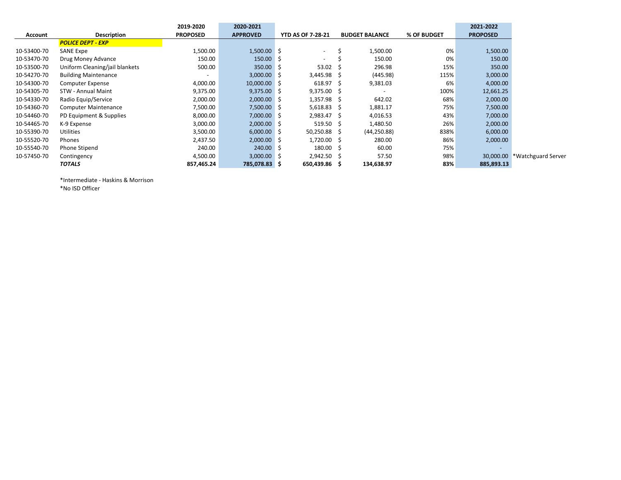|                |                                | 2019-2020                | 2020-2021       |                          |                       |             | 2021-2022                |                              |
|----------------|--------------------------------|--------------------------|-----------------|--------------------------|-----------------------|-------------|--------------------------|------------------------------|
| <b>Account</b> | Description                    | <b>PROPOSED</b>          | <b>APPROVED</b> | <b>YTD AS OF 7-28-21</b> | <b>BUDGET BALANCE</b> | % OF BUDGET | <b>PROPOSED</b>          |                              |
|                | <b>POLICE DEPT - EXP</b>       |                          |                 |                          |                       |             |                          |                              |
| 10-53400-70    | SANE Expe                      | 1,500.00                 | $1,500.00$ \$   | $\sim$                   | 1,500.00              | 0%          | 1,500.00                 |                              |
| 10-53470-70    | Drug Money Advance             | 150.00                   | $150.00$ \$     | $\overline{\phantom{0}}$ | 150.00                | 0%          | 150.00                   |                              |
| 10-53500-70    | Uniform Cleaning/jail blankets | 500.00                   | $350.00$ \$     | $53.02 \quad$ \$         | 296.98                | 15%         | 350.00                   |                              |
| 10-54270-70    | <b>Building Maintenance</b>    | $\overline{\phantom{a}}$ | $3,000.00$ \$   | $3,445.98$ \$            | (445.98)              | 115%        | 3,000.00                 |                              |
| 10-54300-70    | Computer Expense               | 4,000.00                 | $10,000.00$ \$  | $618.97 \quad $$         | 9,381.03              | 6%          | 4,000.00                 |                              |
| 10-54305-70    | STW - Annual Maint             | 9,375.00                 | $9,375.00$ \$   | $9,375.00$ \$            |                       | 100%        | 12,661.25                |                              |
| 10-54330-70    | Radio Equip/Service            | 2,000.00                 | $2,000.00$ \$   | $1,357.98$ \$            | 642.02                | 68%         | 2,000.00                 |                              |
| 10-54360-70    | <b>Computer Maintenance</b>    | 7,500.00                 | 7,500.00 \$     | $5,618.83$ \$            | 1,881.17              | 75%         | 7,500.00                 |                              |
| 10-54460-70    | PD Equipment & Supplies        | 8,000.00                 | 7,000.00 \$     | 2,983.47 \$              | 4,016.53              | 43%         | 7,000.00                 |                              |
| 10-54465-70    | K-9 Expense                    | 3,000.00                 | $2,000.00$ \$   | $519.50 \pm 5$           | 1,480.50              | 26%         | 2,000.00                 |                              |
| 10-55390-70    | Utilities                      | 3,500.00                 | $6,000.00$ \$   | $50,250.88$ \$           | (44, 250.88)          | 838%        | 6,000.00                 |                              |
| 10-55520-70    | Phones                         | 2,437.50                 | $2,000.00$ \$   | 1,720.00 \$              | 280.00                | 86%         | 2,000.00                 |                              |
| 10-55540-70    | Phone Stipend                  | 240.00                   | $240.00$ \$     | $180.00 \quad $$         | 60.00                 | 75%         | $\overline{\phantom{a}}$ |                              |
| 10-57450-70    | Contingency                    | 4,500.00                 | $3,000.00$ \$   | $2,942.50$ \$            | 57.50                 | 98%         |                          | 30,000.00 *Watchguard Server |
|                | <b>TOTALS</b>                  | 857,465.24               | 785,078.83 \$   | 650,439.86 \$            | 134,638.97            | 83%         | 885,893.13               |                              |

\*Intermediate - Haskins & Morrison \*No ISD Officer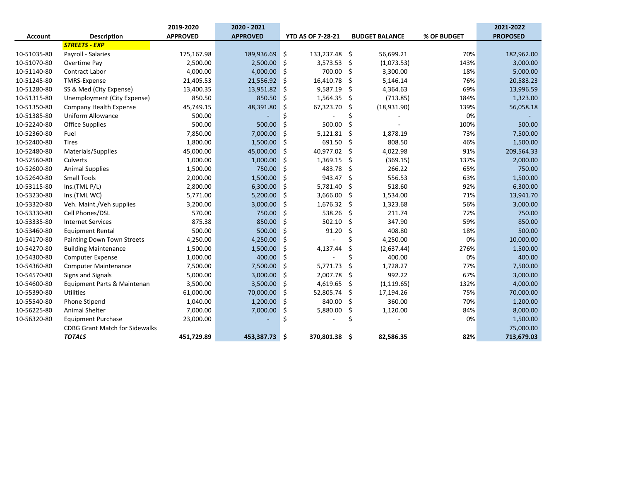|                |                                       | 2019-2020       | 2020 - 2021     |     |                          |     |                       | 2021-2022   |                 |
|----------------|---------------------------------------|-----------------|-----------------|-----|--------------------------|-----|-----------------------|-------------|-----------------|
| <b>Account</b> | <b>Description</b>                    | <b>APPROVED</b> | <b>APPROVED</b> |     | <b>YTD AS OF 7-28-21</b> |     | <b>BUDGET BALANCE</b> | % OF BUDGET | <b>PROPOSED</b> |
|                | <b>STREETS - EXP</b>                  |                 |                 |     |                          |     |                       |             |                 |
| 10-51035-80    | Payroll - Salaries                    | 175,167.98      | 189,936.69      | \$  | 133,237.48 \$            |     | 56,699.21             | 70%         | 182,962.00      |
| 10-51070-80    | Overtime Pay                          | 2,500.00        | 2,500.00        | -\$ | 3,573.53                 | -\$ | (1,073.53)            | 143%        | 3,000.00        |
| 10-51140-80    | <b>Contract Labor</b>                 | 4,000.00        | 4,000.00        | -\$ | 700.00                   | -\$ | 3,300.00              | 18%         | 5,000.00        |
| 10-51245-80    | <b>TMRS-Expense</b>                   | 21,405.53       | 21,556.92       | -\$ | 16,410.78                | -\$ | 5,146.14              | 76%         | 20,583.23       |
| 10-51280-80    | SS & Med (City Expense)               | 13,400.35       | 13,951.82       | -\$ | 9,587.19                 | \$. | 4,364.63              | 69%         | 13,996.59       |
| 10-51315-80    | Unemployment (City Expense)           | 850.50          | 850.50          | \$. | 1,564.35                 | \$  | (713.85)              | 184%        | 1,323.00        |
| 10-51350-80    | Company Health Expense                | 45,749.15       | 48,391.80       | \$. | 67,323.70                | \$  | (18,931.90)           | 139%        | 56,058.18       |
| 10-51385-80    | <b>Uniform Allowance</b>              | 500.00          |                 | \$  |                          | Ś   |                       | 0%          |                 |
| 10-52240-80    | <b>Office Supplies</b>                | 500.00          | 500.00          | \$  | 500.00                   | \$  |                       | 100%        | 500.00          |
| 10-52360-80    | Fuel                                  | 7,850.00        | 7,000.00        | \$  | 5,121.81                 | \$  | 1,878.19              | 73%         | 7,500.00        |
| 10-52400-80    | <b>Tires</b>                          | 1,800.00        | 1,500.00        | \$. | 691.50                   | -\$ | 808.50                | 46%         | 1,500.00        |
| 10-52480-80    | Materials/Supplies                    | 45,000.00       | 45,000.00       | \$. | 40,977.02                | \$  | 4,022.98              | 91%         | 209,564.33      |
| 10-52560-80    | Culverts                              | 1,000.00        | 1,000.00        | -\$ | 1,369.15                 | \$  | (369.15)              | 137%        | 2,000.00        |
| 10-52600-80    | <b>Animal Supplies</b>                | 1,500.00        | 750.00          | \$  | 483.78                   | \$  | 266.22                | 65%         | 750.00          |
| 10-52640-80    | <b>Small Tools</b>                    | 2,000.00        | 1,500.00        | \$  | 943.47                   | -\$ | 556.53                | 63%         | 1,500.00        |
| 10-53115-80    | Ins.(TML P/L)                         | 2,800.00        | 6,300.00        | -S  | 5,781.40                 | -\$ | 518.60                | 92%         | 6,300.00        |
| 10-53230-80    | Ins.(TML WC)                          | 5,771.00        | 5,200.00        | -\$ | 3,666.00                 | -\$ | 1,534.00              | 71%         | 13,941.70       |
| 10-53320-80    | Veh. Maint./Veh supplies              | 3,200.00        | 3,000.00        | -\$ | 1,676.32                 | -\$ | 1,323.68              | 56%         | 3,000.00        |
| 10-53330-80    | Cell Phones/DSL                       | 570.00          | 750.00          | \$  | 538.26                   | -\$ | 211.74                | 72%         | 750.00          |
| 10-53335-80    | <b>Internet Services</b>              | 875.38          | 850.00          | \$  | 502.10                   | Ŝ.  | 347.90                | 59%         | 850.00          |
| 10-53460-80    | <b>Equipment Rental</b>               | 500.00          | 500.00          | -\$ | 91.20                    | \$  | 408.80                | 18%         | 500.00          |
| 10-54170-80    | Painting Down Town Streets            | 4,250.00        | 4,250.00        | -\$ |                          | Ś   | 4,250.00              | 0%          | 10,000.00       |
| 10-54270-80    | <b>Building Maintenance</b>           | 1,500.00        | 1,500.00        | -\$ | 4,137.44                 | \$  | (2,637.44)            | 276%        | 1,500.00        |
| 10-54300-80    | <b>Computer Expense</b>               | 1,000.00        | 400.00          | -\$ |                          | \$  | 400.00                | 0%          | 400.00          |
| 10-54360-80    | <b>Computer Maintenance</b>           | 7,500.00        | 7,500.00        | -\$ | 5,771.73                 | \$. | 1,728.27              | 77%         | 7,500.00        |
| 10-54570-80    | Signs and Signals                     | 5,000.00        | 3,000.00        | -\$ | 2,007.78                 | Ś.  | 992.22                | 67%         | 3,000.00        |
| 10-54600-80    | Equipment Parts & Maintenan           | 3,500.00        | 3,500.00        | -\$ | 4,619.65                 | Ŝ.  | (1, 119.65)           | 132%        | 4,000.00        |
| 10-55390-80    | <b>Utilities</b>                      | 61,000.00       | 70,000.00       | \$  | 52,805.74                | Ś.  | 17,194.26             | 75%         | 70,000.00       |
| 10-55540-80    | <b>Phone Stipend</b>                  | 1,040.00        | 1,200.00        | \$  | 840.00                   | Ś.  | 360.00                | 70%         | 1,200.00        |
| 10-56225-80    | <b>Animal Shelter</b>                 | 7,000.00        | 7,000.00        | \$  | 5,880.00                 | Ś.  | 1,120.00              | 84%         | 8,000.00        |
| 10-56320-80    | <b>Equipment Purchase</b>             | 23,000.00       |                 | \$  |                          | \$  |                       | 0%          | 1,500.00        |
|                | <b>CDBG Grant Match for Sidewalks</b> |                 |                 |     |                          |     |                       |             | 75,000.00       |
|                | <b>TOTALS</b>                         | 451,729.89      | 453,387.73      | -\$ | 370,801.38 \$            |     | 82,586.35             | 82%         | 713,679.03      |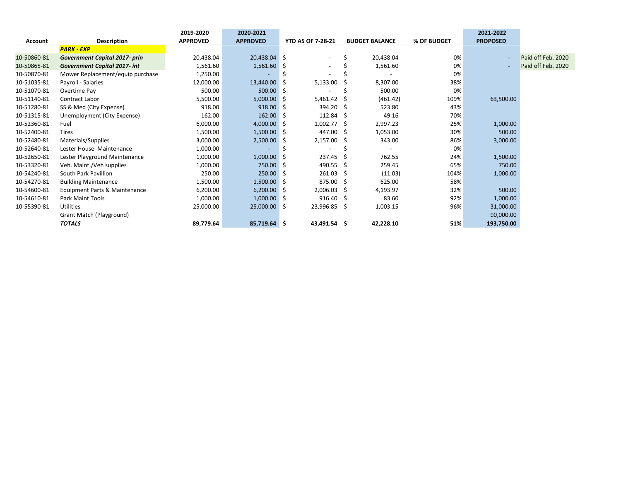|                |                                      | 2019-2020       | 2020-2021       |                          |    |                       |             | 2021-2022       |                    |
|----------------|--------------------------------------|-----------------|-----------------|--------------------------|----|-----------------------|-------------|-----------------|--------------------|
| <b>Account</b> | <b>Description</b>                   | <b>APPROVED</b> | <b>APPROVED</b> | <b>YTD AS OF 7-28-21</b> |    | <b>BUDGET BALANCE</b> | % OF BUDGET | <b>PROPOSED</b> |                    |
|                | <b>PARK - EXP</b>                    |                 |                 |                          |    |                       |             |                 |                    |
| 10-50860-81    | <b>Government Capital 2017- prin</b> | 20,438.04       | 20,438.04 \$    | $\overline{\phantom{a}}$ |    | 20,438.04             | 0%          |                 | Paid off Feb. 2020 |
| 10-50865-81    | <b>Government Capital 2017- int</b>  | 1,561.60        | 1,561.60        | -S                       |    | 1,561.60              | 0%          |                 | Paid off Feb. 2020 |
| 10-50870-81    | Mower Replacement/equip purchase     | 1,250.00        |                 |                          |    |                       | 0%          |                 |                    |
| 10-51035-81    | Payroll - Salaries                   | 12,000.00       | 13,440.00       | 5,133.00                 |    | 8,307.00              | 38%         |                 |                    |
| 10-51070-81    | Overtime Pay                         | 500.00          | 500.00          |                          |    | 500.00                | 0%          |                 |                    |
| 10-51140-81    | Contract Labor                       | 5,500.00        | 5,000.00        | 5,461.42<br>-S           |    | (461.42)              | 109%        | 63,500.00       |                    |
| 10-51280-81    | SS & Med (City Expense)              | 918.00          | 918.00          | 394.20<br>-S             | -S | 523.80                | 43%         |                 |                    |
| 10-51315-81    | Unemployment (City Expense)          | 162.00          | 162.00          | $112.84 \quad$ \$<br>-S  |    | 49.16                 | 70%         |                 |                    |
| 10-52360-81    | Fuel                                 | 6,000.00        | $4,000.00$ \$   | $1,002.77$ \$            |    | 2,997.23              | 25%         | 1,000.00        |                    |
| 10-52400-81    | <b>Tires</b>                         | 1,500.00        | $1,500.00$ \$   | 447.00 \$                |    | 1,053.00              | 30%         | 500.00          |                    |
| 10-52480-81    | Materials/Supplies                   | 3,000.00        | $2,500.00$ \$   | $2,157.00$ \$            |    | 343.00                | 86%         | 3,000.00        |                    |
| 10-52640-81    | Lester House Maintenance             | 1,000.00        |                 |                          |    |                       | 0%          |                 |                    |
| 10-52650-81    | Lester Playground Maintenance        | 1,000.00        | 1,000.00        | 237.45                   |    | 762.55                | 24%         | 1,500.00        |                    |
| 10-53320-81    | Veh. Maint./Veh supplies             | 1,000.00        | 750.00          | 490.55                   | -S | 259.45                | 65%         | 750.00          |                    |
| 10-54240-81    | South Park Pavillion                 | 250.00          | $250.00$ \$     | 261.03                   | -S | (11.03)               | 104%        | 1,000.00        |                    |
| 10-54270-81    | <b>Building Maintenance</b>          | 1,500.00        | $1,500.00$ \$   | $875.00\frac{1}{5}$      |    | 625.00                | 58%         |                 |                    |
| 10-54600-81    | Equipment Parts & Maintenance        | 6,200.00        | 6,200.00        | $2,006.03$ \$<br>-S      |    | 4,193.97              | 32%         | 500.00          |                    |
| 10-54610-81    | Park Maint Tools                     | 1,000.00        | $1,000.00$ \$   | 916.40%                  |    | 83.60                 | 92%         | 1,000.00        |                    |
| 10-55390-81    | <b>Utilities</b>                     | 25,000.00       | $25,000.00$ \$  | 23,996.85 \$             |    | 1,003.15              | 96%         | 31,000.00       |                    |
|                | Grant Match (Playground)             |                 |                 |                          |    |                       |             | 90,000.00       |                    |
|                | <b>TOTALS</b>                        | 89,779.64       | 85,719.64 \$    | 43,491.54 \$             |    | 42,228.10             | 51%         | 193,750.00      |                    |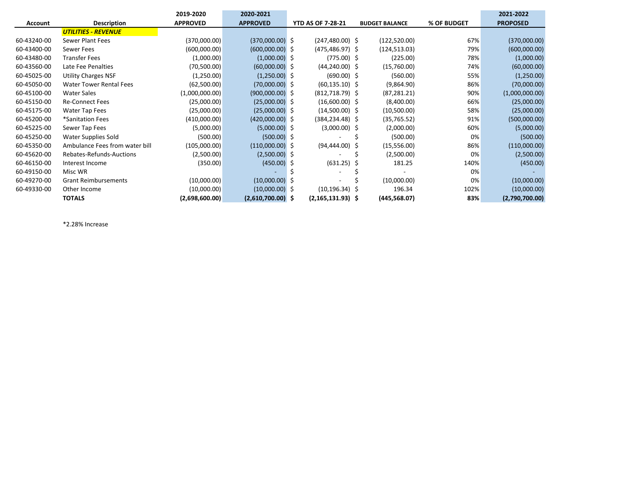|                |                                | 2019-2020       | 2020-2021           |                          |                       |             | 2021-2022       |
|----------------|--------------------------------|-----------------|---------------------|--------------------------|-----------------------|-------------|-----------------|
| <b>Account</b> | <b>Description</b>             | <b>APPROVED</b> | <b>APPROVED</b>     | <b>YTD AS OF 7-28-21</b> | <b>BUDGET BALANCE</b> | % OF BUDGET | <b>PROPOSED</b> |
|                | <b>UTILITIES - REVENUE</b>     |                 |                     |                          |                       |             |                 |
| 60-43240-00    | Sewer Plant Fees               | (370,000.00)    | $(370,000.00)$ \$   | $(247, 480.00)$ \$       | (122, 520.00)         | 67%         | (370,000.00)    |
| 60-43400-00    | Sewer Fees                     | (600,000.00)    | $(600,000.00)$ \$   | $(475, 486.97)$ \$       | (124, 513.03)         | 79%         | (600,000.00)    |
| 60-43480-00    | <b>Transfer Fees</b>           | (1,000.00)      | $(1,000.00)$ \$     | $(775.00)$ \$            | (225.00)              | 78%         | (1,000.00)      |
| 60-43560-00    | Late Fee Penalties             | (70,500.00)     | $(60,000.00)$ \$    | $(44, 240.00)$ \$        | (15,760.00)           | 74%         | (60,000.00)     |
| 60-45025-00    | <b>Utility Charges NSF</b>     | (1,250.00)      | $(1,250.00)$ \$     | $(690.00)$ \$            | (560.00)              | 55%         | (1,250.00)      |
| 60-45050-00    | <b>Water Tower Rental Fees</b> | (62,500.00)     | $(70,000.00)$ \$    | $(60, 135.10)$ \$        | (9,864.90)            | 86%         | (70,000.00)     |
| 60-45100-00    | <b>Water Sales</b>             | (1,000,000.00)  | $(900,000.00)$ \$   | (812,718.79) \$          | (87, 281.21)          | 90%         | (1,000,000.00)  |
| 60-45150-00    | <b>Re-Connect Fees</b>         | (25,000.00)     | $(25,000.00)$ \$    | $(16,600.00)$ \$         | (8,400.00)            | 66%         | (25,000.00)     |
| 60-45175-00    | Water Tap Fees                 | (25,000.00)     | $(25,000.00)$ \$    | $(14,500.00)$ \$         | (10,500.00)           | 58%         | (25,000.00)     |
| 60-45200-00    | *Sanitation Fees               | (410,000.00)    | $(420,000.00)$ \$   | (384,234.48) \$          | (35,765.52)           | 91%         | (500,000.00)    |
| 60-45225-00    | Sewer Tap Fees                 | (5,000.00)      | $(5,000.00)$ \$     | $(3,000.00)$ \$          | (2,000.00)            | 60%         | (5,000.00)      |
| 60-45250-00    | Water Supplies Sold            | (500.00)        | $(500.00)$ \$       |                          | (500.00)              | 0%          | (500.00)        |
| 60-45350-00    | Ambulance Fees from water bill | (105,000.00)    | $(110,000.00)$ \$   | $(94, 444.00)$ \$        | (15,556.00)           | 86%         | (110,000.00)    |
| 60-45620-00    | Rebates-Refunds-Auctions       | (2,500.00)      | $(2,500.00)$ \$     |                          | (2,500.00)            | 0%          | (2,500.00)      |
| 60-46150-00    | Interest Income                | (350.00)        | $(450.00)$ \$       | $(631.25)$ \$            | 181.25                | 140%        | (450.00)        |
| 60-49150-00    | Misc WR                        |                 |                     |                          |                       | 0%          |                 |
| 60-49270-00    | <b>Grant Reimbursements</b>    | (10,000.00)     | $(10,000.00)$ \$    |                          | (10,000.00)           | 0%          | (10,000.00)     |
| 60-49330-00    | Other Income                   | (10,000.00)     | $(10,000.00)$ \$    | $(10, 196.34)$ \$        | 196.34                | 102%        | (10,000.00)     |
|                | <b>TOTALS</b>                  | (2,698,600.00)  | $(2,610,700.00)$ \$ | $(2, 165, 131.93)$ \$    | (445,568.07)          | 83%         | (2,790,700.00)  |

\*2.28% Increase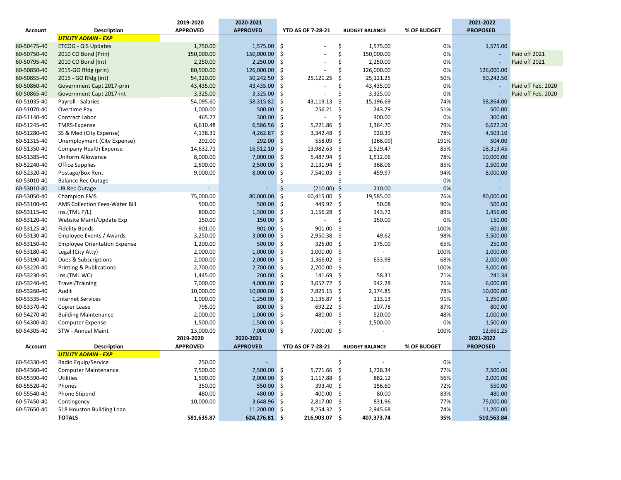|                |                                     | 2019-2020       | 2020-2021       |                                |                       |             | 2021-2022       |                    |
|----------------|-------------------------------------|-----------------|-----------------|--------------------------------|-----------------------|-------------|-----------------|--------------------|
| <b>Account</b> | <b>Description</b>                  | <b>APPROVED</b> | <b>APPROVED</b> | <b>YTD AS OF 7-28-21</b>       | <b>BUDGET BALANCE</b> | % OF BUDGET | <b>PROPOSED</b> |                    |
|                | <b>UTILITY ADMIN - EXP</b>          |                 |                 |                                |                       |             |                 |                    |
| 60-50475-40    | <b>ETCOG - GIS Updates</b>          | 1,750.00        | $1,575.00$ \$   |                                | \$<br>1,575.00        | 0%          | 1,575.00        |                    |
| 60-50750-40    | 2010 CO Bond (Prin)                 | 150,000.00      | 150,000.00      | \$                             | \$<br>150,000.00      | 0%          |                 | Paid off 2021      |
| 60-50795-40    | 2010 CO Bond (Int)                  | 2,250.00        | 2,250.00 \$     |                                | \$<br>2,250.00        | 0%          |                 | Paid off 2021      |
| 60-50850-40    | 2015-GO Rfdg (prin)                 | 80,500.00       | 126,000.00      | \$                             | Ś<br>126,000.00       | 0%          | 126,000.00      |                    |
| 60-50855-40    | 2015 - GO Rfdg (int)                | 54,320.00       | 50,242.50       | \$<br>25,121.25                | Ś<br>25,121.25        | 50%         | 50,242.50       |                    |
| 60-50860-40    | Government Capt 2017-prin           | 43,435.00       | 43,435.00       | \$                             | Ś<br>43,435.00        | 0%          |                 | Paid off Feb. 2020 |
| 60-50865-40    | Government Capt 2017-int            | 3,325.00        | $3,325.00$ \$   |                                | Ś<br>3,325.00         | 0%          |                 | Paid off Feb. 2020 |
| 60-51035-40    | Payroll - Salaries                  | 54,095.60       | 58,315.82       | -\$<br>43,119.13               | Ś<br>15,196.69        | 74%         | 58,864.00       |                    |
| 60-51070-40    | Overtime Pay                        | 1,000.00        | 500.00          | \$<br>256.21                   | Ś.<br>243.79          | 51%         | 500.00          |                    |
| 60-51140-40    | Contract Labor                      | 465.77          | 300.00 \$       |                                | Ś<br>300.00           | 0%          | 300.00          |                    |
| 60-51245-40    | <b>TMRS-Expense</b>                 | 6,610.48        | 6,586.56        | \$<br>5,221.86                 | \$<br>1,364.70        | 79%         | 6,622.20        |                    |
| 60-51280-40    | SS & Med (City Expense)             | 4,138.31        | $4,262.87$ \$   | 3,342.48                       | Ś.<br>920.39          | 78%         | 4,503.10        |                    |
| 60-51315-40    | Unemployment (City Expense)         | 292.00          | 292.00 \$       | 558.09                         | \$<br>(266.09)        | 191%        | 504.00          |                    |
| 60-51350-40    | Company Health Expense              | 14,632.71       | 16,512.10       | \$<br>13,982.63                | \$<br>2,529.47        | 85%         | 18,313.45       |                    |
| 60-51385-40    | Uniform Allowance                   | 8,000.00        | 7,000.00        | \$<br>5,487.94                 | \$<br>1,512.06        | 78%         | 10,000.00       |                    |
| 60-52240-40    | <b>Office Supplies</b>              | 2,500.00        | 2,500.00        | $\dot{\mathsf{s}}$<br>2,131.94 | \$<br>368.06          | 85%         | 2,500.00        |                    |
| 60-52320-40    | Postage/Box Rent                    | 9,000.00        | 8,000.00        | \$<br>7,540.03                 | \$<br>459.97          | 94%         | 8,000.00        |                    |
| 60-53010-40    | <b>Balance Rec Outage</b>           |                 |                 | \$                             | Ś<br>$\overline{a}$   | 0%          |                 |                    |
| 60-53010-40    | <b>UB Rec Outage</b>                |                 |                 | Ś<br>$(210.00)$ \$             | 210.00                | 0%          |                 |                    |
| 60-53050-40    | <b>Champion EMS</b>                 | 75,000.00       | 80,000.00 \$    | 60,415.00 \$                   | 19,585.00             | 76%         | 80,000.00       |                    |
| 60-53100-40    | AMS Collection Fees-Water Bill      | 500.00          | 500.00          | \$<br>449.92 \$                | 50.08                 | 90%         | 500.00          |                    |
| 60-53115-40    | Ins.(TML P/L)                       | 800.00          | 1,300.00        | \$<br>1,156.28                 | \$<br>143.72          | 89%         | 1,456.00        |                    |
| 60-53120-40    | Website Maint/Update Exp            | 150.00          | 150.00          | \$                             | 150.00<br>Ś           | 0%          | 150.00          |                    |
| 60-53125-40    | <b>Fidelity Bonds</b>               | 901.00          | $901.00$ \$     | 901.00                         | \$                    | 100%        | 601.00          |                    |
| 60-53130-40    | Employee Events / Awards            | 3,250.00        | 3,000.00        | \$<br>2,950.38                 | Ś<br>49.62            | 98%         | 3,500.00        |                    |
| 60-53150-40    | <b>Employee Orientation Expense</b> | 1,200.00        | 500.00 \$       | 325.00                         | \$<br>175.00          | 65%         | 250.00          |                    |
| 60-53180-40    | Legal (City Atty)                   | 2,000.00        | $1,000.00$ \$   | 1,000.00                       | \$<br>$\omega$        | 100%        | 1,000.00        |                    |
| 60-53190-40    | Dues & Subscriptions                | 2,000.00        | 2,000.00        | \$<br>1,366.02                 | \$<br>633.98          | 68%         | 2,000.00        |                    |
| 60-53220-40    | <b>Printing &amp; Publications</b>  | 2,700.00        | 2,700.00        | -\$<br>2,700.00                | \$                    | 100%        | 3,000.00        |                    |
| 60-53230-40    | Ins.(TML WC)                        | 1,445.00        | 200.00          | \$<br>141.69                   | \$<br>58.31           | 71%         | 241.34          |                    |
| 60-53240-40    | <b>Travel/Training</b>              | 7,000.00        | 4,000.00 \$     | 3,057.72                       | $\zeta$<br>942.28     | 76%         | 6,000.00        |                    |
| 60-53260-40    | Audit                               | 10,000.00       | $10,000.00$ \$  | 7,825.15                       | \$<br>2,174.85        | 78%         | 10,000.00       |                    |
| 60-53335-40    | <b>Internet Services</b>            | 1,000.00        | $1,250.00$ \$   | 1,136.87                       | \$<br>113.13          | 91%         | 1,250.00        |                    |
| 60-53370-40    | Copier Lease                        | 795.00          | 800.00          | \$<br>692.22                   | \$<br>107.78          | 87%         | 800.00          |                    |
| 60-54270-40    | <b>Building Maintenance</b>         | 2,000.00        | $1,000.00$ \$   | 480.00                         | \$<br>520.00          | 48%         | 1,000.00        |                    |
| 60-54300-40    | <b>Computer Expense</b>             | 1,500.00        | 1,500.00        | \$                             | \$<br>1,500.00        | 0%          | 1,500.00        |                    |
| 60-54305-40    | STW - Annual Maint                  | 13,000.00       | 7,000.00 \$     | 7,000.00                       | \$                    | 100%        | 12,661.25       |                    |
|                |                                     | 2019-2020       | 2020-2021       |                                |                       |             | 2021-2022       |                    |
| <b>Account</b> | <b>Description</b>                  | <b>APPROVED</b> | <b>APPROVED</b> | <b>YTD AS OF 7-28-21</b>       | <b>BUDGET BALANCE</b> | % OF BUDGET | <b>PROPOSED</b> |                    |
|                | <b>UTILITY ADMIN - EXP</b>          |                 |                 |                                |                       |             |                 |                    |
| 60-54330-40    | Radio Equip/Service                 | 250.00          |                 |                                | Ś                     | 0%          |                 |                    |
| 60-54360-40    | <b>Computer Maintenance</b>         | 7,500.00        | 7,500.00 \$     | 5,771.66                       | \$<br>1,728.34        | 77%         | 7,500.00        |                    |
| 60-55390-40    | Utilities                           | 1,500.00        | 2,000.00        | \$<br>1,117.88                 | \$<br>882.12          | 56%         | 2,000.00        |                    |
| 60-55520-40    | Phones                              | 350.00          | 550.00 \$       | 393.40                         | \$<br>156.60          | 72%         | 550.00          |                    |
| 60-55540-40    | Phone Stipend                       | 480.00          | 480.00          | \$<br>400.00                   | \$<br>80.00           | 83%         | 480.00          |                    |
| 60-57450-40    | Contingency                         | 10,000.00       | 3,648.96 \$     | 2,817.00                       | \$<br>831.96          | 77%         | 75,000.00       |                    |
| 60-57650-40    | 518 Houston Building Loan           |                 | 11,200.00 \$    | 8,254.32                       | -\$<br>2,945.68       | 74%         | 11,200.00       |                    |
|                | <b>TOTALS</b>                       | 581,635.87      | 624,276.81 \$   | 216,903.07                     | -\$<br>407,373.74     | 35%         | 510,563.84      |                    |
|                |                                     |                 |                 |                                |                       |             |                 |                    |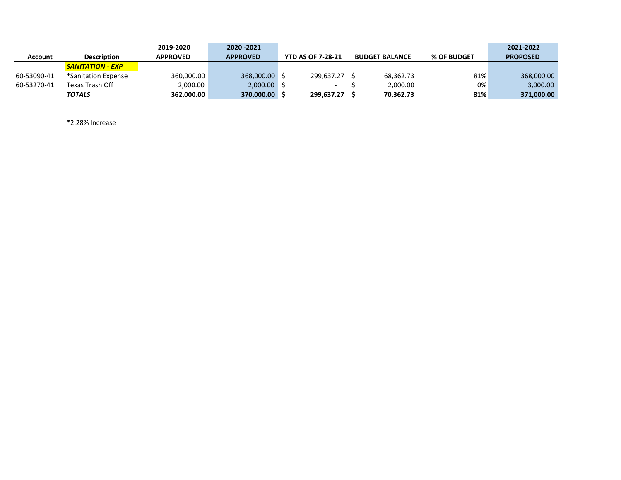|             |                         | 2019-2020       | 2020 - 2021     |                          |                       |             | 2021-2022       |
|-------------|-------------------------|-----------------|-----------------|--------------------------|-----------------------|-------------|-----------------|
| Account     | <b>Description</b>      | <b>APPROVED</b> | <b>APPROVED</b> | <b>YTD AS OF 7-28-21</b> | <b>BUDGET BALANCE</b> | % OF BUDGET | <b>PROPOSED</b> |
|             | <b>SANITATION - EXP</b> |                 |                 |                          |                       |             |                 |
| 60-53090-41 | *Sanitation Expense     | 360,000.00      | 368,000.00      | 299.637.27 \$            | 68.362.73             | 81%         | 368,000.00      |
| 60-53270-41 | Texas Trash Off         | 2,000.00        | $2,000.00$ \$   | $\overline{\phantom{0}}$ | 2.000.00              | 0%          | 3,000.00        |
|             | TOTALS                  | 362,000.00      | 370,000.00      | 299.637.27               | 70,362.73             | 81%         | 371,000.00      |

\*2.28% Increase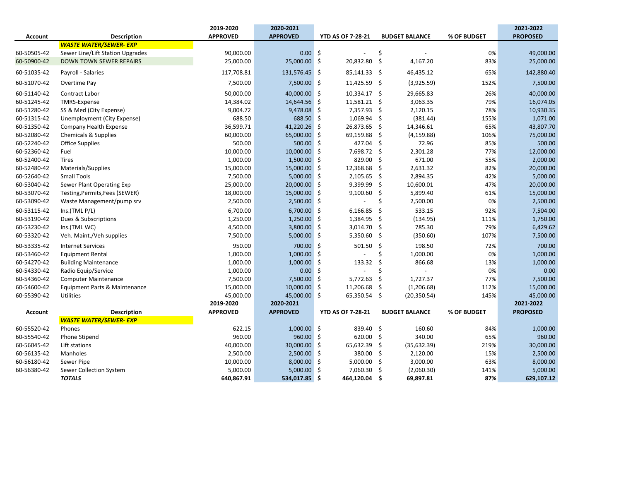|                |                                  | 2019-2020       | 2020-2021       |                          |                       |             | 2021-2022       |
|----------------|----------------------------------|-----------------|-----------------|--------------------------|-----------------------|-------------|-----------------|
| <b>Account</b> | <b>Description</b>               | <b>APPROVED</b> | <b>APPROVED</b> | <b>YTD AS OF 7-28-21</b> | <b>BUDGET BALANCE</b> | % OF BUDGET | <b>PROPOSED</b> |
|                | <b>WASTE WATER/SEWER- EXP</b>    |                 |                 |                          |                       |             |                 |
| 60-50505-42    | Sewer Line/Lift Station Upgrades | 90,000.00       | $0.00$ \$       |                          | \$                    | 0%          | 49,000.00       |
| 60-50900-42    | <b>DOWN TOWN SEWER REPAIRS</b>   | 25,000.00       | 25,000.00 \$    | 20,832.80                | - \$<br>4,167.20      | 83%         | 25,000.00       |
| 60-51035-42    | Payroll - Salaries               | 117,708.81      | 131,576.45 \$   | 85,141.33 \$             | 46,435.12             | 65%         | 142,880.40      |
| 60-51070-42    | Overtime Pay                     | 7,500.00        | 7,500.00 \$     | 11,425.59 \$             | (3,925.59)            | 152%        | 7,500.00        |
| 60-51140-42    | Contract Labor                   | 50,000.00       | 40,000.00 \$    | 10,334.17 \$             | 29,665.83             | 26%         | 40,000.00       |
| 60-51245-42    | <b>TMRS-Expense</b>              | 14,384.02       | 14,644.56 \$    | 11,581.21 \$             | 3,063.35              | 79%         | 16,074.05       |
| 60-51280-42    | SS & Med (City Expense)          | 9,004.72        | $9,478.08$ \$   | 7,357.93 \$              | 2,120.15              | 78%         | 10,930.35       |
| 60-51315-42    | Unemployment (City Expense)      | 688.50          | 688.50 \$       | 1,069.94                 | \$<br>(381.44)        | 155%        | 1,071.00        |
| 60-51350-42    | Company Health Expense           | 36,599.71       | 41,220.26 \$    | 26,873.65                | - \$<br>14,346.61     | 65%         | 43,807.70       |
| 60-52080-42    | <b>Chemicals &amp; Supplies</b>  | 60,000.00       | 65,000.00 \$    | 69,159.88                | \$<br>(4, 159.88)     | 106%        | 75,000.00       |
| 60-52240-42    | <b>Office Supplies</b>           | 500.00          | 500.00 \$       | 427.04                   | Ŝ.<br>72.96           | 85%         | 500.00          |
| 60-52360-42    | Fuel                             | 10,000.00       | 10,000.00 \$    | 7,698.72 \$              | 2,301.28              | 77%         | 12,000.00       |
| 60-52400-42    | <b>Tires</b>                     | 1,000.00        | $1,500.00$ \$   | 829.00                   | \$<br>671.00          | 55%         | 2,000.00        |
| 60-52480-42    | Materials/Supplies               | 15,000.00       | 15,000.00 \$    | 12,368.68                | \$<br>2,631.32        | 82%         | 20,000.00       |
| 60-52640-42    | <b>Small Tools</b>               | 7,500.00        | $5,000.00$ \$   | 2,105.65                 | \$<br>2,894.35        | 42%         | 5,000.00        |
| 60-53040-42    | Sewer Plant Operating Exp        | 25,000.00       | 20,000.00 \$    | 9,399.99                 | \$<br>10,600.01       | 47%         | 20,000.00       |
| 60-53070-42    | Testing, Permits, Fees (SEWER)   | 18,000.00       | 15,000.00 \$    | 9,100.60                 | \$<br>5,899.40        | 61%         | 15,000.00       |
| 60-53090-42    | Waste Management/pump srv        | 2,500.00        | $2,500.00$ \$   | $\overline{\phantom{a}}$ | \$<br>2,500.00        | 0%          | 2,500.00        |
| 60-53115-42    | Ins.(TML P/L)                    | 6,700.00        | 6,700.00 \$     | 6,166.85                 | \$<br>533.15          | 92%         | 7,504.00        |
| 60-53190-42    | Dues & Subscriptions             | 1,250.00        | $1,250.00$ \$   | 1,384.95                 | \$<br>(134.95)        | 111%        | 1,750.00        |
| 60-53230-42    | Ins.(TML WC)                     | 4,500.00        | 3,800.00 \$     | 3,014.70 \$              | 785.30                | 79%         | 6,429.62        |
| 60-53320-42    | Veh. Maint./Veh supplies         | 7,500.00        | $5,000.00$ \$   | 5,350.60 \$              | (350.60)              | 107%        | 7,500.00        |
| 60-53335-42    | <b>Internet Services</b>         | 950.00          | 700.00 \$       | 501.50                   | \$<br>198.50          | 72%         | 700.00          |
| 60-53460-42    | <b>Equipment Rental</b>          | 1,000.00        | $1,000.00$ \$   |                          | Ś<br>1,000.00         | 0%          | 1,000.00        |
| 60-54270-42    | <b>Building Maintenance</b>      | 1,000.00        | $1,000.00$ \$   | 133.32                   | \$<br>866.68          | 13%         | 1,000.00        |
| 60-54330-42    | Radio Equip/Service              | 1,000.00        | 0.00            | -\$                      | Ś                     | 0%          | 0.00            |
| 60-54360-42    | <b>Computer Maintenance</b>      | 7,500.00        | 7,500.00 \$     | 5,772.63                 | \$<br>1,727.37        | 77%         | 7,500.00        |
| 60-54600-42    | Equipment Parts & Maintenance    | 15,000.00       | 10,000.00 \$    | 11,206.68                | \$<br>(1,206.68)      | 112%        | 15,000.00       |
| 60-55390-42    | <b>Utilities</b>                 | 45,000.00       | 45,000.00 \$    | 65,350.54 \$             | (20, 350.54)          | 145%        | 45,000.00       |
|                |                                  | 2019-2020       | 2020-2021       |                          |                       |             | 2021-2022       |
| Account        | <b>Description</b>               | <b>APPROVED</b> | <b>APPROVED</b> | <b>YTD AS OF 7-28-21</b> | <b>BUDGET BALANCE</b> | % OF BUDGET | <b>PROPOSED</b> |
|                | <b>WASTE WATER/SEWER- EXP</b>    |                 |                 |                          |                       |             |                 |
| 60-55520-42    | Phones                           | 622.15          | $1,000.00$ \$   | 839.40 \$                | 160.60                | 84%         | 1,000.00        |
| 60-55540-42    | Phone Stipend                    | 960.00          | 960.00 \$       | 620.00 \$                | 340.00                | 65%         | 960.00          |
| 60-56045-42    | Lift stations                    | 40,000.00       | 30,000.00 \$    | 65,632.39                | \$<br>(35, 632.39)    | 219%        | 30,000.00       |
| 60-56135-42    | Manholes                         | 2,500.00        | $2,500.00$ \$   | 380.00 \$                | 2,120.00              | 15%         | 2,500.00        |
| 60-56180-42    | Sewer Pipe                       | 10,000.00       | 8,000.00 \$     | 5,000.00                 | \$<br>3,000.00        | 63%         | 8,000.00        |
| 60-56380-42    | Sewer Collection System          | 5,000.00        | $5,000.00$ \$   | 7,060.30                 | \$<br>(2,060.30)      | 141%        | 5,000.00        |
|                | <b>TOTALS</b>                    | 640,867.91      | 534,017.85 \$   | 464,120.04 \$            | 69,897.81             | 87%         | 629,107.12      |